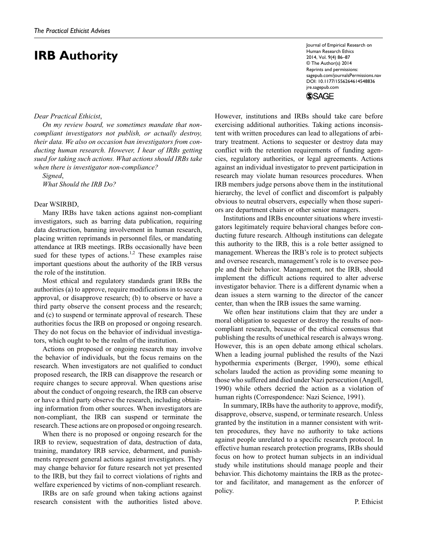# **IRB Authority**

#### *Dear Practical Ethicist*,

*On my review board, we sometimes mandate that noncompliant investigators not publish, or actually destroy, their data. We also on occasion ban investigators from conducting human research. However, I hear of IRBs getting sued for taking such actions. What actions should IRBs take when there is investigator non-compliance?*

*Signed*,

*What Should the IRB Do?*

#### Dear WSIRBD,

Many IRBs have taken actions against non-compliant investigators, such as barring data publication, requiring data destruction, banning involvement in human research, placing written reprimands in personnel files, or mandating attendance at IRB meetings. IRBs occasionally have been sued for these types of actions.<sup>1,2</sup> These examples raise important questions about the authority of the IRB versus the role of the institution.

Most ethical and regulatory standards grant IRBs the authorities (a) to approve, require modifications in to secure approval, or disapprove research; (b) to observe or have a third party observe the consent process and the research; and (c) to suspend or terminate approval of research. These authorities focus the IRB on proposed or ongoing research. They do not focus on the behavior of individual investigators, which ought to be the realm of the institution.

Actions on proposed or ongoing research may involve the behavior of individuals, but the focus remains on the research. When investigators are not qualified to conduct proposed research, the IRB can disapprove the research or require changes to secure approval. When questions arise about the conduct of ongoing research, the IRB can observe or have a third party observe the research, including obtaining information from other sources. When investigators are non-compliant, the IRB can suspend or terminate the research. These actions are on proposed or ongoing research.

When there is no proposed or ongoing research for the IRB to review, sequestration of data, destruction of data, training, mandatory IRB service, debarment, and punishments represent general actions against investigators. They may change behavior for future research not yet presented to the IRB, but they fail to correct violations of rights and welfare experienced by victims of non-compliant research.

IRBs are on safe ground when taking actions against research consistent with the authorities listed above. Journal of Empirical Research on Human Research Ethics 2014, Vol. 9(4) 86–87 © The Author(s) 2014 Reprints and permissions: sagepub.com/journalsPermissions.nav DOI: 10.1177/1556264614548836 jre.sagepub.com **SSAGE** 

However, institutions and IRBs should take care before exercising additional authorities. Taking actions inconsistent with written procedures can lead to allegations of arbitrary treatment. Actions to sequester or destroy data may conflict with the retention requirements of funding agencies, regulatory authorities, or legal agreements. Actions against an individual investigator to prevent participation in research may violate human resources procedures. When IRB members judge persons above them in the institutional hierarchy, the level of conflict and discomfort is palpably obvious to neutral observers, especially when those superiors are department chairs or other senior managers.

Institutions and IRBs encounter situations where investigators legitimately require behavioral changes before conducting future research. Although institutions can delegate this authority to the IRB, this is a role better assigned to management. Whereas the IRB's role is to protect subjects and oversee research, management's role is to oversee people and their behavior. Management, not the IRB, should implement the difficult actions required to alter adverse investigator behavior. There is a different dynamic when a dean issues a stern warning to the director of the cancer center, than when the IRB issues the same warning.

We often hear institutions claim that they are under a moral obligation to sequester or destroy the results of noncompliant research, because of the ethical consensus that publishing the results of unethical research is always wrong. However, this is an open debate among ethical scholars. When a leading journal published the results of the Nazi hypothermia experiments (Berger, 1990), some ethical scholars lauded the action as providing some meaning to those who suffered and died under Nazi persecution (Angell, 1990) while others decried the action as a violation of human rights (Correspondence: Nazi Science, 1991).

In summary, IRBs have the authority to approve, modify, disapprove, observe, suspend, or terminate research. Unless granted by the institution in a manner consistent with written procedures, they have no authority to take actions against people unrelated to a specific research protocol. In effective human research protection programs, IRBs should focus on how to protect human subjects in an individual study while institutions should manage people and their behavior. This dichotomy maintains the IRB as the protector and facilitator, and management as the enforcer of policy.